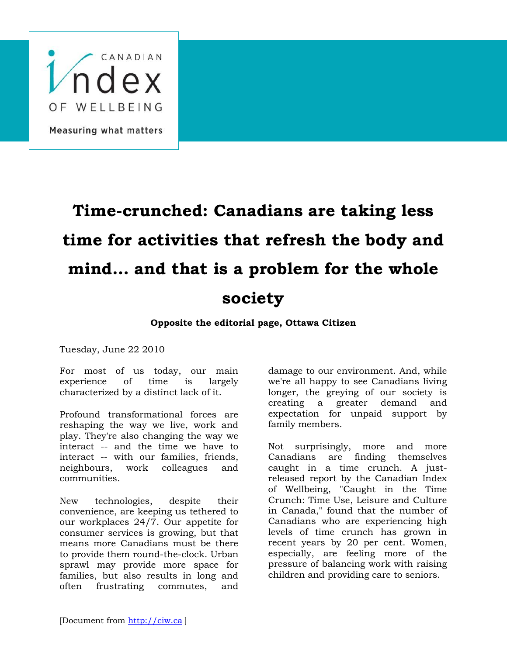

## **Time-crunched: Canadians are taking less time for activities that refresh the body and mind… and that is a problem for the whole society**

## **Opposite the editorial page, Ottawa Citizen**

Tuesday, June 22 2010

For most of us today, our main experience of time is largely characterized by a distinct lack of it.

Profound transformational forces are reshaping the way we live, work and play. They're also changing the way we interact -- and the time we have to interact -- with our families, friends, neighbours, work colleagues and communities.

New technologies, despite their convenience, are keeping us tethered to our workplaces 24/7. Our appetite for consumer services is growing, but that means more Canadians must be there to provide them round-the-clock. Urban sprawl may provide more space for families, but also results in long and often frustrating commutes, and

damage to our environment. And, while we're all happy to see Canadians living longer, the greying of our society is creating a greater demand and expectation for unpaid support by family members.

Not surprisingly, more and more Canadians are finding themselves caught in a time crunch. A justreleased report by the Canadian Index of Wellbeing, "Caught in the Time Crunch: Time Use, Leisure and Culture in Canada," found that the number of Canadians who are experiencing high levels of time crunch has grown in recent years by 20 per cent. Women, especially, are feeling more of the pressure of balancing work with raising children and providing care to seniors.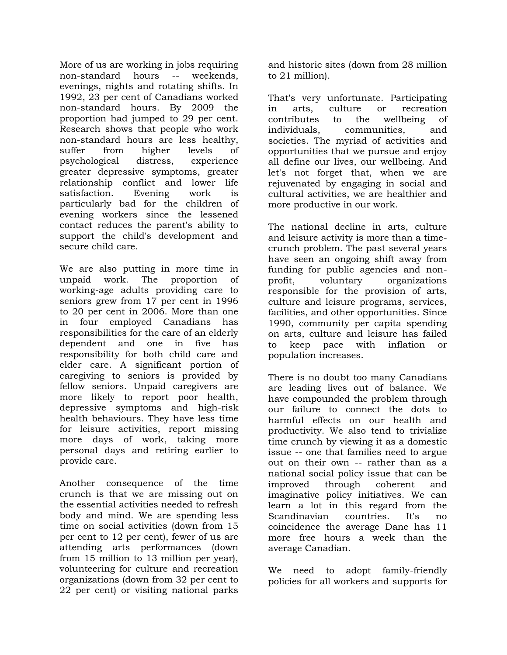More of us are working in jobs requiring non-standard hours -- weekends, evenings, nights and rotating shifts. In 1992, 23 per cent of Canadians worked non-standard hours. By 2009 the proportion had jumped to 29 per cent. Research shows that people who work non-standard hours are less healthy, suffer from higher levels of psychological distress, experience greater depressive symptoms, greater relationship conflict and lower life satisfaction. Evening work is particularly bad for the children of evening workers since the lessened contact reduces the parent's ability to support the child's development and secure child care.

We are also putting in more time in unpaid work. The proportion of working-age adults providing care to seniors grew from 17 per cent in 1996 to 20 per cent in 2006. More than one in four employed Canadians has responsibilities for the care of an elderly dependent and one in five has responsibility for both child care and elder care. A significant portion of caregiving to seniors is provided by fellow seniors. Unpaid caregivers are more likely to report poor health, depressive symptoms and high-risk health behaviours. They have less time for leisure activities, report missing more days of work, taking more personal days and retiring earlier to provide care.

Another consequence of the time crunch is that we are missing out on the essential activities needed to refresh body and mind. We are spending less time on social activities (down from 15 per cent to 12 per cent), fewer of us are attending arts performances (down from 15 million to 13 million per year), volunteering for culture and recreation organizations (down from 32 per cent to 22 per cent) or visiting national parks

and historic sites (down from 28 million to 21 million).

That's very unfortunate. Participating in arts, culture or recreation contributes to the wellbeing of individuals, communities, and societies. The myriad of activities and opportunities that we pursue and enjoy all define our lives, our wellbeing. And let's not forget that, when we are rejuvenated by engaging in social and cultural activities, we are healthier and more productive in our work.

The national decline in arts, culture and leisure activity is more than a timecrunch problem. The past several years have seen an ongoing shift away from funding for public agencies and nonprofit, voluntary organizations responsible for the provision of arts, culture and leisure programs, services, facilities, and other opportunities. Since 1990, community per capita spending on arts, culture and leisure has failed to keep pace with inflation or population increases.

There is no doubt too many Canadians are leading lives out of balance. We have compounded the problem through our failure to connect the dots to harmful effects on our health and productivity. We also tend to trivialize time crunch by viewing it as a domestic issue -- one that families need to argue out on their own -- rather than as a national social policy issue that can be improved through coherent and imaginative policy initiatives. We can learn a lot in this regard from the Scandinavian countries. It's no coincidence the average Dane has 11 more free hours a week than the average Canadian.

We need to adopt family-friendly policies for all workers and supports for